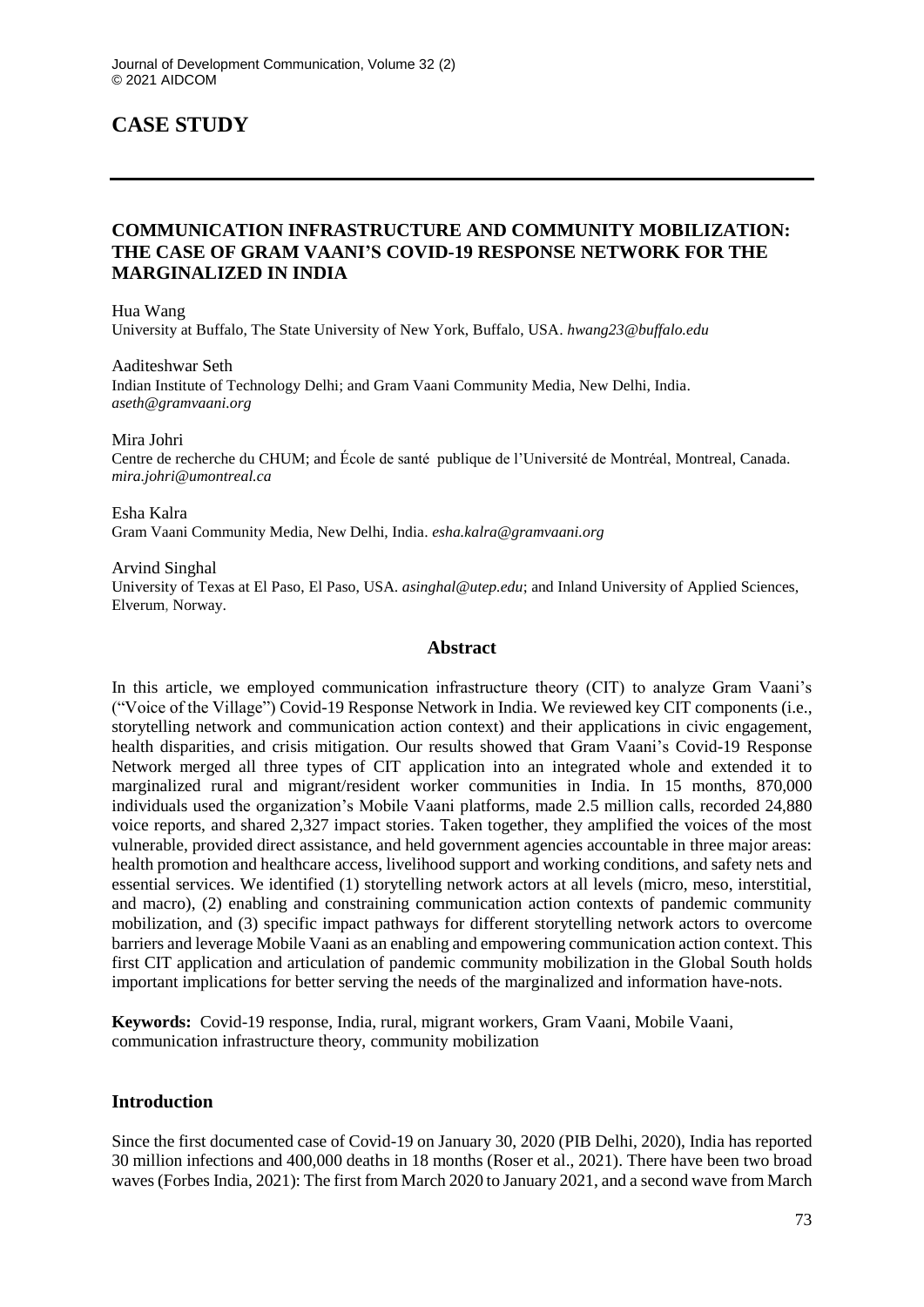# **CASE STUDY**

# **COMMUNICATION INFRASTRUCTURE AND COMMUNITY MOBILIZATION: THE CASE OF GRAM VAANI'S COVID-19 RESPONSE NETWORK FOR THE MARGINALIZED IN INDIA**

Hua Wang

University at Buffalo, The State University of New York, Buffalo, USA. *hwang23@buffalo.edu*

Aaditeshwar Seth Indian Institute of Technology Delhi; and Gram Vaani Community Media, New Delhi, India. *aseth@gramvaani.org*

Mira Johri

Centre de recherche du CHUM; and École de santé publique de l'Université de Montréal, Montreal, Canada. *mira.johri@umontreal.ca*

Esha Kalra Gram Vaani Community Media, New Delhi, India. *esha.kalra@gramvaani.org*

Arvind Singhal University of Texas at El Paso, El Paso, USA. *asinghal@utep.edu*; and Inland University of Applied Sciences, Elverum, Norway.

#### **Abstract**

In this article, we employed communication infrastructure theory (CIT) to analyze Gram Vaani's ("Voice of the Village") Covid-19 Response Network in India. We reviewed key CIT components (i.e., storytelling network and communication action context) and their applications in civic engagement, health disparities, and crisis mitigation. Our results showed that Gram Vaani's Covid-19 Response Network merged all three types of CIT application into an integrated whole and extended it to marginalized rural and migrant/resident worker communities in India. In 15 months, 870,000 individuals used the organization's Mobile Vaani platforms, made 2.5 million calls, recorded 24,880 voice reports, and shared 2,327 impact stories. Taken together, they amplified the voices of the most vulnerable, provided direct assistance, and held government agencies accountable in three major areas: health promotion and healthcare access, livelihood support and working conditions, and safety nets and essential services. We identified (1) storytelling network actors at all levels (micro, meso, interstitial, and macro), (2) enabling and constraining communication action contexts of pandemic community mobilization, and (3) specific impact pathways for different storytelling network actors to overcome barriers and leverage Mobile Vaani as an enabling and empowering communication action context. This first CIT application and articulation of pandemic community mobilization in the Global South holds important implications for better serving the needs of the marginalized and information have-nots.

**Keywords:** Covid-19 response, India, rural, migrant workers, Gram Vaani, Mobile Vaani, communication infrastructure theory, community mobilization

### **Introduction**

Since the first documented case of Covid-19 on January 30, 2020 (PIB Delhi, 2020), India has reported 30 million infections and 400,000 deaths in 18 months (Roser et al., 2021). There have been two broad waves (Forbes India, 2021): The first from March 2020 to January 2021, and a second wave from March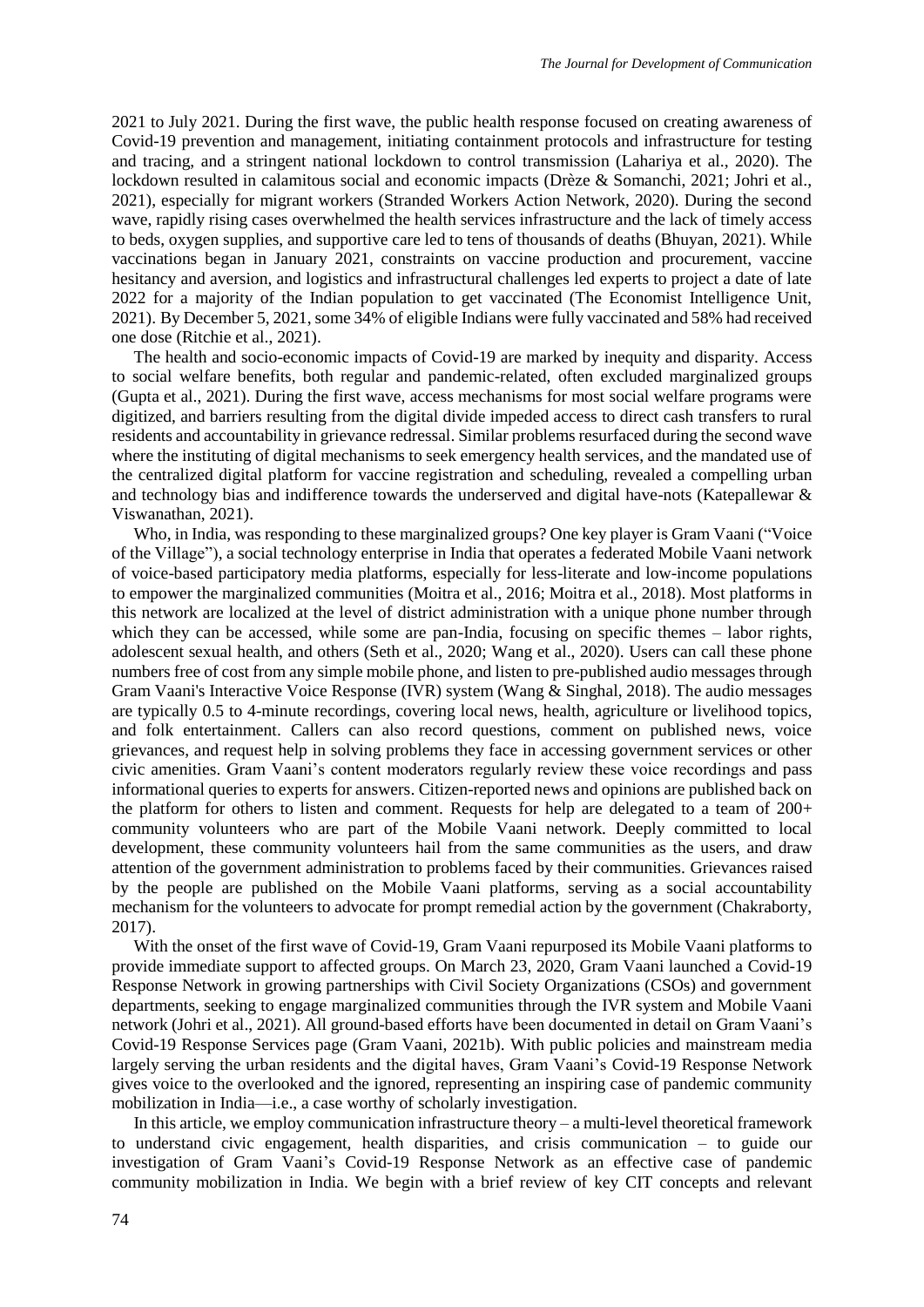2021 to July 2021. During the first wave, the public health response focused on creating awareness of Covid-19 prevention and management, initiating containment protocols and infrastructure for testing and tracing, and a stringent national lockdown to control transmission (Lahariya et al., 2020). The lockdown resulted in calamitous social and economic impacts (Drèze & Somanchi, 2021; Johri et al., 2021), especially for migrant workers (Stranded Workers Action Network, 2020). During the second wave, rapidly rising cases overwhelmed the health services infrastructure and the lack of timely access to beds, oxygen supplies, and supportive care led to tens of thousands of deaths (Bhuyan, 2021). While vaccinations began in January 2021, constraints on vaccine production and procurement, vaccine hesitancy and aversion, and logistics and infrastructural challenges led experts to project a date of late 2022 for a majority of the Indian population to get vaccinated (The Economist Intelligence Unit, 2021). By December 5, 2021, some 34% of eligible Indians were fully vaccinated and 58% had received one dose (Ritchie et al., 2021).

The health and socio-economic impacts of Covid-19 are marked by inequity and disparity. Access to social welfare benefits, both regular and pandemic-related, often excluded marginalized groups (Gupta et al., 2021). During the first wave, access mechanisms for most social welfare programs were digitized, and barriers resulting from the digital divide impeded access to direct cash transfers to rural residents and accountability in grievance redressal. Similar problems resurfaced during the second wave where the instituting of digital mechanisms to seek emergency health services, and the mandated use of the centralized digital platform for vaccine registration and scheduling, revealed a compelling urban and technology bias and indifference towards the underserved and digital have-nots (Katepallewar & Viswanathan, 2021).

Who, in India, was responding to these marginalized groups? One key player is Gram Vaani ("Voice of the Village"), a social technology enterprise in India that operates a federated Mobile Vaani network of voice-based participatory media platforms, especially for less-literate and low-income populations to empower the marginalized communities (Moitra et al., 2016; Moitra et al., 2018). Most platforms in this network are localized at the level of district administration with a unique phone number through which they can be accessed, while some are pan-India, focusing on specific themes – labor rights, adolescent sexual health, and others (Seth et al., 2020; Wang et al., 2020). Users can call these phone numbers free of cost from any simple mobile phone, and listen to pre-published audio messages through Gram Vaani's Interactive Voice Response (IVR) system (Wang & Singhal, 2018). The audio messages are typically 0.5 to 4-minute recordings, covering local news, health, agriculture or livelihood topics, and folk entertainment. Callers can also record questions, comment on published news, voice grievances, and request help in solving problems they face in accessing government services or other civic amenities. Gram Vaani's content moderators regularly review these voice recordings and pass informational queries to experts for answers. Citizen-reported news and opinions are published back on the platform for others to listen and comment. Requests for help are delegated to a team of 200+ community volunteers who are part of the Mobile Vaani network. Deeply committed to local development, these community volunteers hail from the same communities as the users, and draw attention of the government administration to problems faced by their communities. Grievances raised by the people are published on the Mobile Vaani platforms, serving as a social accountability mechanism for the volunteers to advocate for prompt remedial action by the government (Chakraborty, 2017).

With the onset of the first wave of Covid-19, Gram Vaani repurposed its Mobile Vaani platforms to provide immediate support to affected groups. On March 23, 2020, Gram Vaani launched a Covid-19 Response Network in growing partnerships with Civil Society Organizations (CSOs) and government departments, seeking to engage marginalized communities through the IVR system and Mobile Vaani network (Johri et al., 2021). All ground-based efforts have been documented in detail on Gram Vaani's Covid-19 Response Services page (Gram Vaani, 2021b). With public policies and mainstream media largely serving the urban residents and the digital haves, Gram Vaani's Covid-19 Response Network gives voice to the overlooked and the ignored, representing an inspiring case of pandemic community mobilization in India—i.e., a case worthy of scholarly investigation.

In this article, we employ communication infrastructure theory – a multi-level theoretical framework to understand civic engagement, health disparities, and crisis communication – to guide our investigation of Gram Vaani's Covid-19 Response Network as an effective case of pandemic community mobilization in India. We begin with a brief review of key CIT concepts and relevant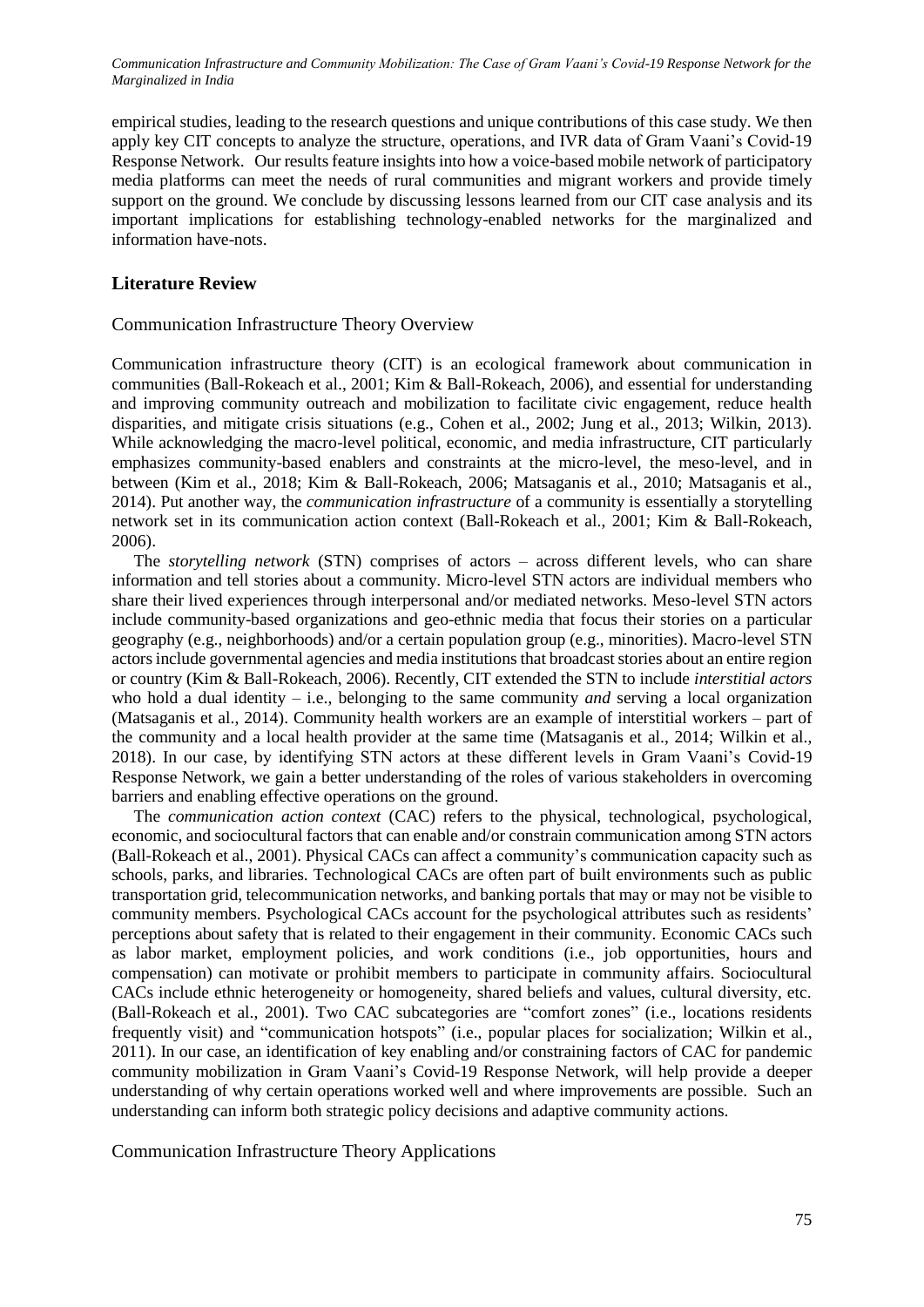empirical studies, leading to the research questions and unique contributions of this case study. We then apply key CIT concepts to analyze the structure, operations, and IVR data of Gram Vaani's Covid-19 Response Network. Our results feature insights into how a voice-based mobile network of participatory media platforms can meet the needs of rural communities and migrant workers and provide timely support on the ground. We conclude by discussing lessons learned from our CIT case analysis and its important implications for establishing technology-enabled networks for the marginalized and information have-nots.

# **Literature Review**

#### Communication Infrastructure Theory Overview

Communication infrastructure theory (CIT) is an ecological framework about communication in communities (Ball-Rokeach et al., 2001; Kim & Ball-Rokeach, 2006), and essential for understanding and improving community outreach and mobilization to facilitate civic engagement, reduce health disparities, and mitigate crisis situations (e.g., Cohen et al., 2002; Jung et al., 2013; Wilkin, 2013). While acknowledging the macro-level political, economic, and media infrastructure, CIT particularly emphasizes community-based enablers and constraints at the micro-level, the meso-level, and in between (Kim et al., 2018; Kim & Ball-Rokeach, 2006; Matsaganis et al., 2010; Matsaganis et al., 2014). Put another way, the *communication infrastructure* of a community is essentially a storytelling network set in its communication action context (Ball-Rokeach et al., 2001; Kim & Ball-Rokeach, 2006).

The *storytelling network* (STN) comprises of actors – across different levels, who can share information and tell stories about a community. Micro-level STN actors are individual members who share their lived experiences through interpersonal and/or mediated networks. Meso-level STN actors include community-based organizations and geo-ethnic media that focus their stories on a particular geography (e.g., neighborhoods) and/or a certain population group (e.g., minorities). Macro-level STN actors include governmental agencies and media institutions that broadcast stories about an entire region or country (Kim & Ball-Rokeach, 2006). Recently, CIT extended the STN to include *interstitial actors* who hold a dual identity – i.e., belonging to the same community *and* serving a local organization (Matsaganis et al., 2014). Community health workers are an example of interstitial workers – part of the community and a local health provider at the same time (Matsaganis et al., 2014; Wilkin et al., 2018). In our case, by identifying STN actors at these different levels in Gram Vaani's Covid-19 Response Network, we gain a better understanding of the roles of various stakeholders in overcoming barriers and enabling effective operations on the ground.

The *communication action context* (CAC) refers to the physical, technological, psychological, economic, and sociocultural factors that can enable and/or constrain communication among STN actors (Ball-Rokeach et al., 2001). Physical CACs can affect a community's communication capacity such as schools, parks, and libraries. Technological CACs are often part of built environments such as public transportation grid, telecommunication networks, and banking portals that may or may not be visible to community members. Psychological CACs account for the psychological attributes such as residents' perceptions about safety that is related to their engagement in their community. Economic CACs such as labor market, employment policies, and work conditions (i.e., job opportunities, hours and compensation) can motivate or prohibit members to participate in community affairs. Sociocultural CACs include ethnic heterogeneity or homogeneity, shared beliefs and values, cultural diversity, etc. (Ball-Rokeach et al., 2001). Two CAC subcategories are "comfort zones" (i.e., locations residents frequently visit) and "communication hotspots" (i.e., popular places for socialization; Wilkin et al., 2011). In our case, an identification of key enabling and/or constraining factors of CAC for pandemic community mobilization in Gram Vaani's Covid-19 Response Network, will help provide a deeper understanding of why certain operations worked well and where improvements are possible. Such an understanding can inform both strategic policy decisions and adaptive community actions.

Communication Infrastructure Theory Applications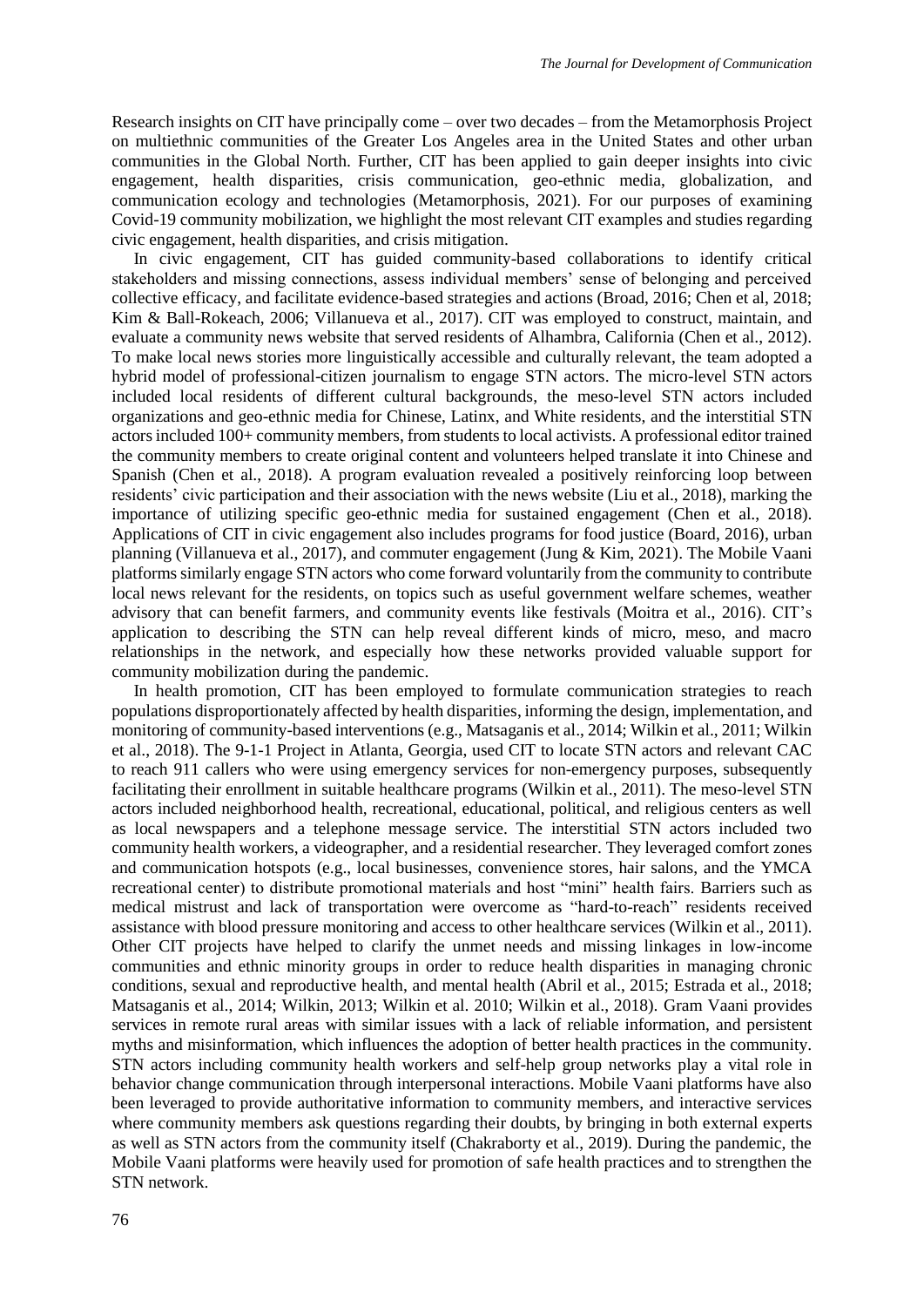Research insights on CIT have principally come – over two decades – from the Metamorphosis Project on multiethnic communities of the Greater Los Angeles area in the United States and other urban communities in the Global North. Further, CIT has been applied to gain deeper insights into civic engagement, health disparities, crisis communication, geo-ethnic media, globalization, and communication ecology and technologies (Metamorphosis, 2021). For our purposes of examining Covid-19 community mobilization, we highlight the most relevant CIT examples and studies regarding civic engagement, health disparities, and crisis mitigation.

In civic engagement, CIT has guided community-based collaborations to identify critical stakeholders and missing connections, assess individual members' sense of belonging and perceived collective efficacy, and facilitate evidence-based strategies and actions (Broad, 2016; Chen et al, 2018; Kim & Ball-Rokeach, 2006; Villanueva et al., 2017). CIT was employed to construct, maintain, and evaluate a community news website that served residents of Alhambra, California (Chen et al., 2012). To make local news stories more linguistically accessible and culturally relevant, the team adopted a hybrid model of professional-citizen journalism to engage STN actors. The micro-level STN actors included local residents of different cultural backgrounds, the meso-level STN actors included organizations and geo-ethnic media for Chinese, Latinx, and White residents, and the interstitial STN actors included 100+ community members, from studentsto local activists. A professional editor trained the community members to create original content and volunteers helped translate it into Chinese and Spanish (Chen et al., 2018). A program evaluation revealed a positively reinforcing loop between residents' civic participation and their association with the news website (Liu et al., 2018), marking the importance of utilizing specific geo-ethnic media for sustained engagement (Chen et al., 2018). Applications of CIT in civic engagement also includes programs for food justice (Board, 2016), urban planning (Villanueva et al., 2017), and commuter engagement (Jung & Kim, 2021). The Mobile Vaani platforms similarly engage STN actors who come forward voluntarily from the community to contribute local news relevant for the residents, on topics such as useful government welfare schemes, weather advisory that can benefit farmers, and community events like festivals (Moitra et al., 2016). CIT's application to describing the STN can help reveal different kinds of micro, meso, and macro relationships in the network, and especially how these networks provided valuable support for community mobilization during the pandemic.

In health promotion, CIT has been employed to formulate communication strategies to reach populations disproportionately affected by health disparities, informing the design, implementation, and monitoring of community-based interventions (e.g., Matsaganis et al., 2014; Wilkin et al., 2011; Wilkin et al., 2018). The 9-1-1 Project in Atlanta, Georgia, used CIT to locate STN actors and relevant CAC to reach 911 callers who were using emergency services for non-emergency purposes, subsequently facilitating their enrollment in suitable healthcare programs (Wilkin et al., 2011). The meso-level STN actors included neighborhood health, recreational, educational, political, and religious centers as well as local newspapers and a telephone message service. The interstitial STN actors included two community health workers, a videographer, and a residential researcher. They leveraged comfort zones and communication hotspots (e.g., local businesses, convenience stores, hair salons, and the YMCA recreational center) to distribute promotional materials and host "mini" health fairs. Barriers such as medical mistrust and lack of transportation were overcome as "hard-to-reach" residents received assistance with blood pressure monitoring and access to other healthcare services (Wilkin et al., 2011). Other CIT projects have helped to clarify the unmet needs and missing linkages in low-income communities and ethnic minority groups in order to reduce health disparities in managing chronic conditions, sexual and reproductive health, and mental health (Abril et al., 2015; Estrada et al., 2018; Matsaganis et al., 2014; Wilkin, 2013; Wilkin et al. 2010; Wilkin et al., 2018). Gram Vaani provides services in remote rural areas with similar issues with a lack of reliable information, and persistent myths and misinformation, which influences the adoption of better health practices in the community. STN actors including community health workers and self-help group networks play a vital role in behavior change communication through interpersonal interactions. Mobile Vaani platforms have also been leveraged to provide authoritative information to community members, and interactive services where community members ask questions regarding their doubts, by bringing in both external experts as well as STN actors from the community itself (Chakraborty et al., 2019). During the pandemic, the Mobile Vaani platforms were heavily used for promotion of safe health practices and to strengthen the STN network.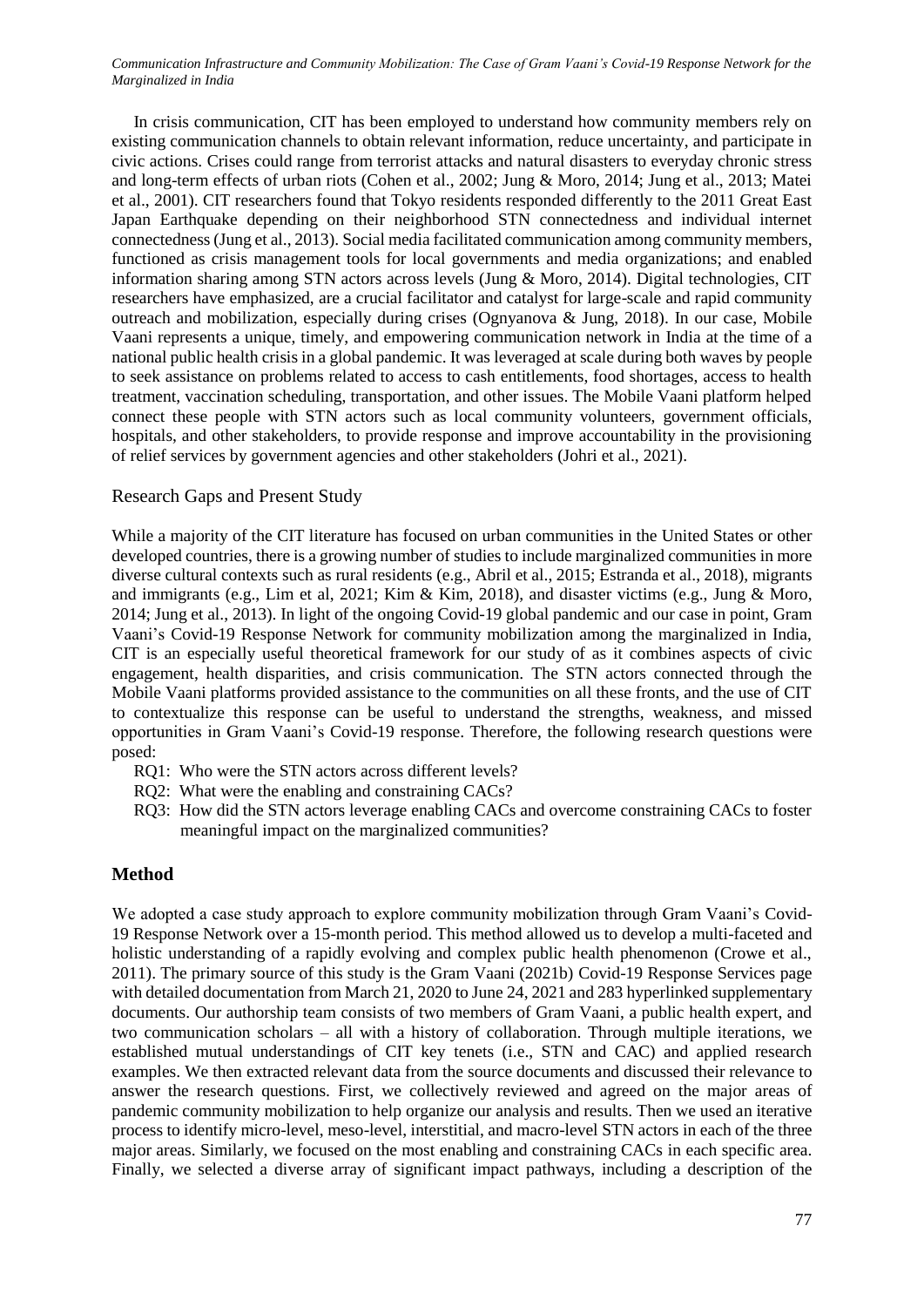In crisis communication, CIT has been employed to understand how community members rely on existing communication channels to obtain relevant information, reduce uncertainty, and participate in civic actions. Crises could range from terrorist attacks and natural disasters to everyday chronic stress and long-term effects of urban riots (Cohen et al., 2002; Jung & Moro, 2014; Jung et al., 2013; Matei et al., 2001). CIT researchers found that Tokyo residents responded differently to the 2011 Great East Japan Earthquake depending on their neighborhood STN connectedness and individual internet connectedness (Jung et al., 2013). Social media facilitated communication among community members, functioned as crisis management tools for local governments and media organizations; and enabled information sharing among STN actors across levels (Jung & Moro, 2014). Digital technologies, CIT researchers have emphasized, are a crucial facilitator and catalyst for large-scale and rapid community outreach and mobilization, especially during crises (Ognyanova & Jung, 2018). In our case, Mobile Vaani represents a unique, timely, and empowering communication network in India at the time of a national public health crisis in a global pandemic. It was leveraged at scale during both waves by people to seek assistance on problems related to access to cash entitlements, food shortages, access to health treatment, vaccination scheduling, transportation, and other issues. The Mobile Vaani platform helped connect these people with STN actors such as local community volunteers, government officials, hospitals, and other stakeholders, to provide response and improve accountability in the provisioning of relief services by government agencies and other stakeholders (Johri et al., 2021).

#### Research Gaps and Present Study

While a majority of the CIT literature has focused on urban communities in the United States or other developed countries, there is a growing number of studies to include marginalized communities in more diverse cultural contexts such as rural residents (e.g., Abril et al., 2015; Estranda et al., 2018), migrants and immigrants (e.g., Lim et al, 2021; Kim & Kim, 2018), and disaster victims (e.g., Jung & Moro, 2014; Jung et al., 2013). In light of the ongoing Covid-19 global pandemic and our case in point, Gram Vaani's Covid-19 Response Network for community mobilization among the marginalized in India, CIT is an especially useful theoretical framework for our study of as it combines aspects of civic engagement, health disparities, and crisis communication. The STN actors connected through the Mobile Vaani platforms provided assistance to the communities on all these fronts, and the use of CIT to contextualize this response can be useful to understand the strengths, weakness, and missed opportunities in Gram Vaani's Covid-19 response. Therefore, the following research questions were posed:

- RQ1: Who were the STN actors across different levels?
- RQ2: What were the enabling and constraining CACs?
- RQ3: How did the STN actors leverage enabling CACs and overcome constraining CACs to foster meaningful impact on the marginalized communities?

### **Method**

We adopted a case study approach to explore community mobilization through Gram Vaani's Covid-19 Response Network over a 15-month period. This method allowed us to develop a multi-faceted and holistic understanding of a rapidly evolving and complex public health phenomenon (Crowe et al., 2011). The primary source of this study is the Gram Vaani (2021b) Covid-19 Response Services page with detailed documentation from March 21, 2020 to June 24, 2021 and 283 hyperlinked supplementary documents. Our authorship team consists of two members of Gram Vaani, a public health expert, and two communication scholars – all with a history of collaboration. Through multiple iterations, we established mutual understandings of CIT key tenets (i.e., STN and CAC) and applied research examples. We then extracted relevant data from the source documents and discussed their relevance to answer the research questions. First, we collectively reviewed and agreed on the major areas of pandemic community mobilization to help organize our analysis and results. Then we used an iterative process to identify micro-level, meso-level, interstitial, and macro-level STN actors in each of the three major areas. Similarly, we focused on the most enabling and constraining CACs in each specific area. Finally, we selected a diverse array of significant impact pathways, including a description of the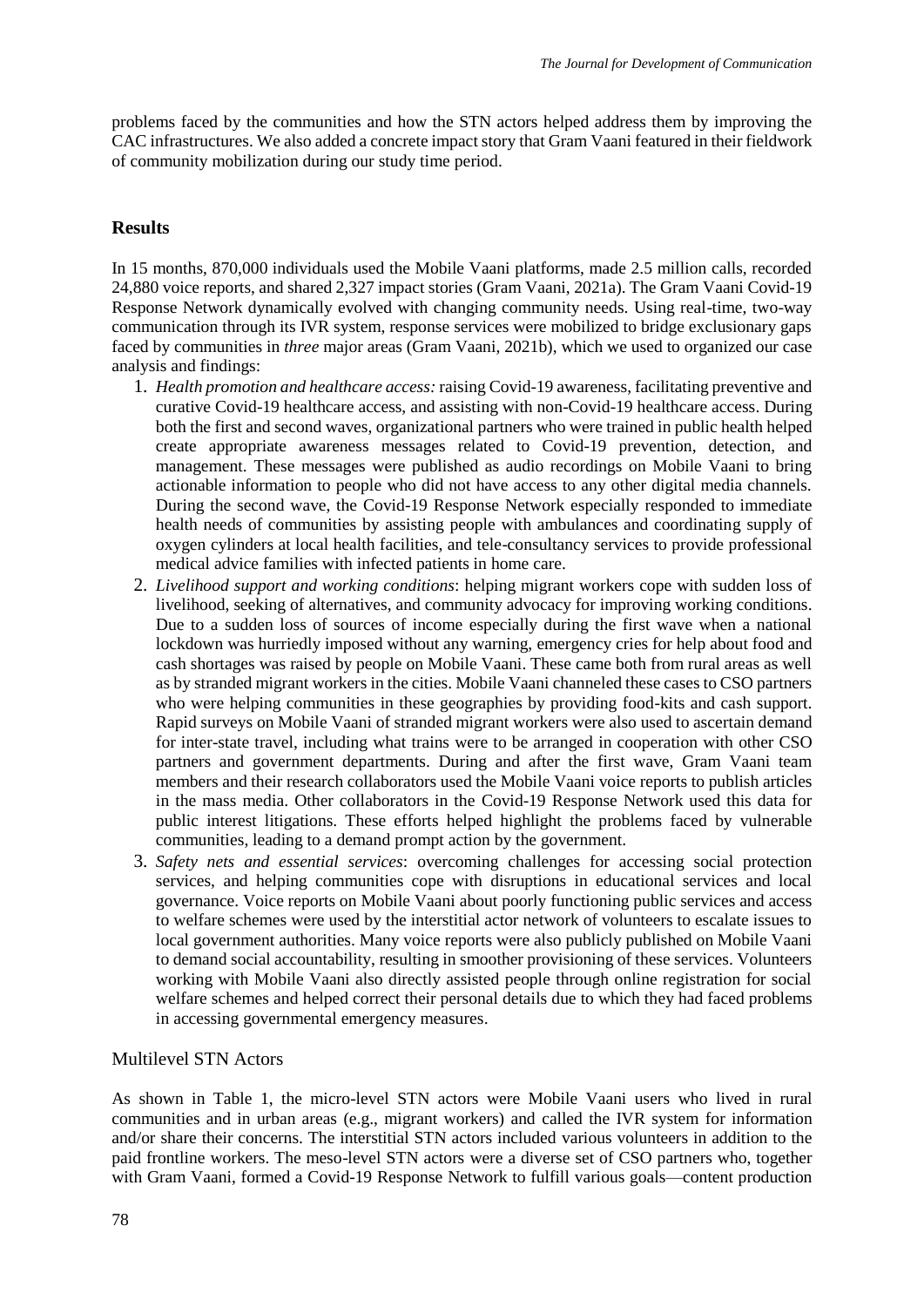problems faced by the communities and how the STN actors helped address them by improving the CAC infrastructures. We also added a concrete impact story that Gram Vaani featured in their fieldwork of community mobilization during our study time period.

# **Results**

In 15 months, 870,000 individuals used the Mobile Vaani platforms, made 2.5 million calls, recorded 24,880 voice reports, and shared 2,327 impact stories (Gram Vaani, 2021a). The Gram Vaani Covid-19 Response Network dynamically evolved with changing community needs. Using real-time, two-way communication through its IVR system, response services were mobilized to bridge exclusionary gaps faced by communities in *three* major areas (Gram Vaani, 2021b), which we used to organized our case analysis and findings:

- 1. *Health promotion and healthcare access:* raising Covid-19 awareness, facilitating preventive and curative Covid-19 healthcare access, and assisting with non-Covid-19 healthcare access. During both the first and second waves, organizational partners who were trained in public health helped create appropriate awareness messages related to Covid-19 prevention, detection, and management. These messages were published as audio recordings on Mobile Vaani to bring actionable information to people who did not have access to any other digital media channels. During the second wave, the Covid-19 Response Network especially responded to immediate health needs of communities by assisting people with ambulances and coordinating supply of oxygen cylinders at local health facilities, and tele-consultancy services to provide professional medical advice families with infected patients in home care.
- 2. *Livelihood support and working conditions*: helping migrant workers cope with sudden loss of livelihood, seeking of alternatives, and community advocacy for improving working conditions. Due to a sudden loss of sources of income especially during the first wave when a national lockdown was hurriedly imposed without any warning, emergency cries for help about food and cash shortages was raised by people on Mobile Vaani. These came both from rural areas as well as by stranded migrant workers in the cities. Mobile Vaani channeled these cases to CSO partners who were helping communities in these geographies by providing food-kits and cash support. Rapid surveys on Mobile Vaani of stranded migrant workers were also used to ascertain demand for inter-state travel, including what trains were to be arranged in cooperation with other CSO partners and government departments. During and after the first wave, Gram Vaani team members and their research collaborators used the Mobile Vaani voice reports to publish articles in the mass media. Other collaborators in the Covid-19 Response Network used this data for public interest litigations. These efforts helped highlight the problems faced by vulnerable communities, leading to a demand prompt action by the government.
- 3. *Safety nets and essential services*: overcoming challenges for accessing social protection services, and helping communities cope with disruptions in educational services and local governance. Voice reports on Mobile Vaani about poorly functioning public services and access to welfare schemes were used by the interstitial actor network of volunteers to escalate issues to local government authorities. Many voice reports were also publicly published on Mobile Vaani to demand social accountability, resulting in smoother provisioning of these services. Volunteers working with Mobile Vaani also directly assisted people through online registration for social welfare schemes and helped correct their personal details due to which they had faced problems in accessing governmental emergency measures.

### Multilevel STN Actors

As shown in Table 1, the micro-level STN actors were Mobile Vaani users who lived in rural communities and in urban areas (e.g., migrant workers) and called the IVR system for information and/or share their concerns. The interstitial STN actors included various volunteers in addition to the paid frontline workers. The meso-level STN actors were a diverse set of CSO partners who, together with Gram Vaani, formed a Covid-19 Response Network to fulfill various goals—content production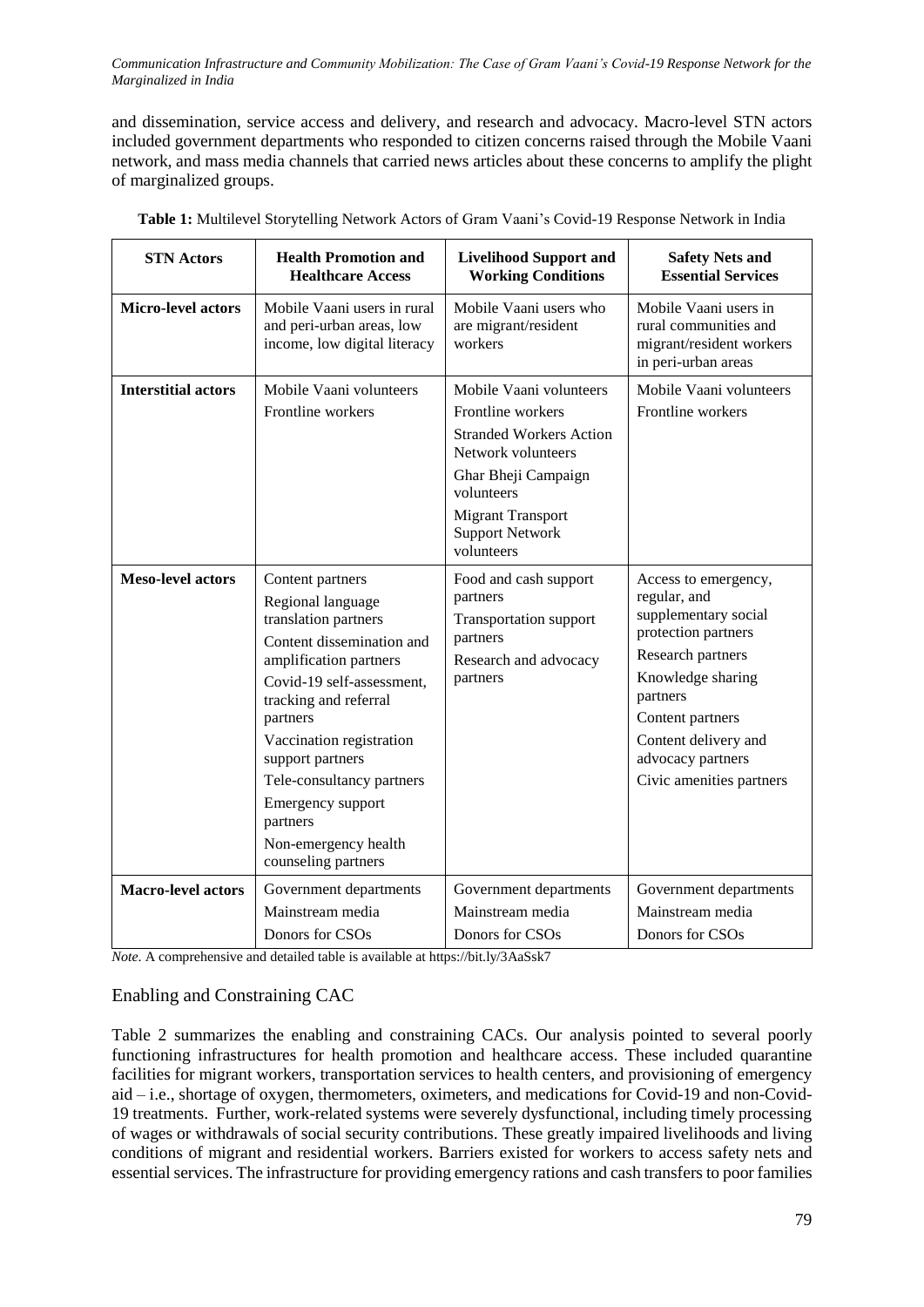and dissemination, service access and delivery, and research and advocacy. Macro-level STN actors included government departments who responded to citizen concerns raised through the Mobile Vaani network, and mass media channels that carried news articles about these concerns to amplify the plight of marginalized groups.

| <b>STN</b> Actors          | <b>Health Promotion and</b><br><b>Healthcare Access</b>                                                                                                                                                                                                                                                                                             | <b>Livelihood Support and</b><br><b>Working Conditions</b>                                                                                                                                                    | <b>Safety Nets and</b><br><b>Essential Services</b>                                                                                                                                                                                    |
|----------------------------|-----------------------------------------------------------------------------------------------------------------------------------------------------------------------------------------------------------------------------------------------------------------------------------------------------------------------------------------------------|---------------------------------------------------------------------------------------------------------------------------------------------------------------------------------------------------------------|----------------------------------------------------------------------------------------------------------------------------------------------------------------------------------------------------------------------------------------|
| Micro-level actors         | Mobile Vaani users in rural<br>and peri-urban areas, low<br>income, low digital literacy                                                                                                                                                                                                                                                            | Mobile Vaani users who<br>are migrant/resident<br>workers                                                                                                                                                     | Mobile Vaani users in<br>rural communities and<br>migrant/resident workers<br>in peri-urban areas                                                                                                                                      |
| <b>Interstitial actors</b> | Mobile Vaani volunteers<br>Frontline workers                                                                                                                                                                                                                                                                                                        | Mobile Vaani volunteers<br>Frontline workers<br><b>Stranded Workers Action</b><br>Network volunteers<br>Ghar Bheji Campaign<br>volunteers<br><b>Migrant Transport</b><br><b>Support Network</b><br>volunteers | Mobile Vaani volunteers<br>Frontline workers                                                                                                                                                                                           |
| <b>Meso-level actors</b>   | Content partners<br>Regional language<br>translation partners<br>Content dissemination and<br>amplification partners<br>Covid-19 self-assessment,<br>tracking and referral<br>partners<br>Vaccination registration<br>support partners<br>Tele-consultancy partners<br>Emergency support<br>partners<br>Non-emergency health<br>counseling partners | Food and cash support<br>partners<br>Transportation support<br>partners<br>Research and advocacy<br>partners                                                                                                  | Access to emergency,<br>regular, and<br>supplementary social<br>protection partners<br>Research partners<br>Knowledge sharing<br>partners<br>Content partners<br>Content delivery and<br>advocacy partners<br>Civic amenities partners |
| <b>Macro-level actors</b>  | Government departments<br>Mainstream media<br>Donors for CSOs                                                                                                                                                                                                                                                                                       | Government departments<br>Mainstream media<br>Donors for CSOs                                                                                                                                                 | Government departments<br>Mainstream media<br>Donors for CSOs                                                                                                                                                                          |

**Table 1:** Multilevel Storytelling Network Actors of Gram Vaani's Covid-19 Response Network in India

*Note*. A comprehensive and detailed table is available at https://bit.ly/3AaSsk7

# Enabling and Constraining CAC

Table 2 summarizes the enabling and constraining CACs. Our analysis pointed to several poorly functioning infrastructures for health promotion and healthcare access. These included quarantine facilities for migrant workers, transportation services to health centers, and provisioning of emergency aid – i.e., shortage of oxygen, thermometers, oximeters, and medications for Covid-19 and non-Covid-19 treatments. Further, work-related systems were severely dysfunctional, including timely processing of wages or withdrawals of social security contributions. These greatly impaired livelihoods and living conditions of migrant and residential workers. Barriers existed for workers to access safety nets and essential services. The infrastructure for providing emergency rations and cash transfers to poor families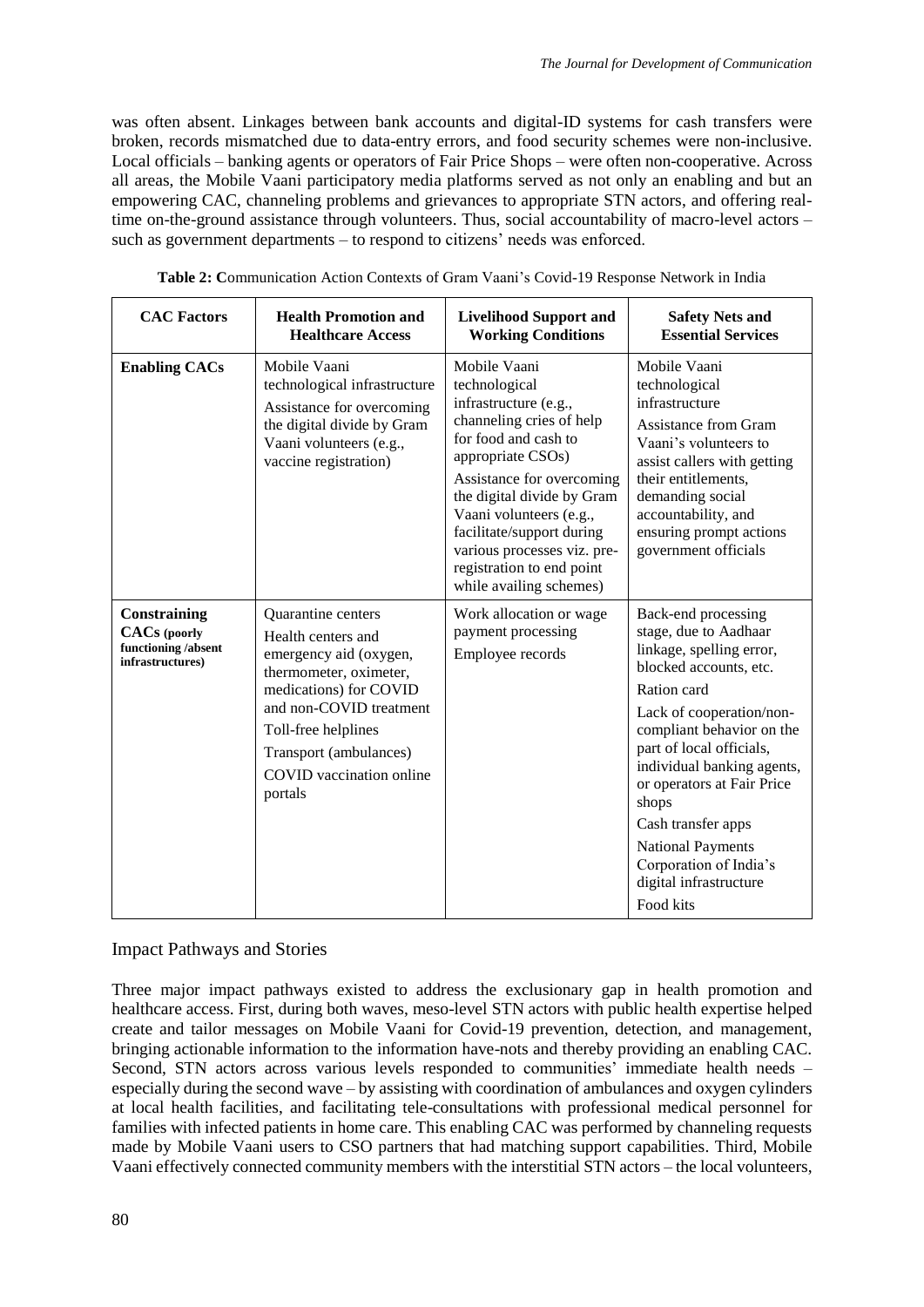was often absent. Linkages between bank accounts and digital-ID systems for cash transfers were broken, records mismatched due to data-entry errors, and food security schemes were non-inclusive. Local officials – banking agents or operators of Fair Price Shops – were often non-cooperative. Across all areas, the Mobile Vaani participatory media platforms served as not only an enabling and but an empowering CAC, channeling problems and grievances to appropriate STN actors, and offering realtime on-the-ground assistance through volunteers. Thus, social accountability of macro-level actors – such as government departments – to respond to citizens' needs was enforced.

| <b>CAC Factors</b>                                                             | <b>Health Promotion and</b><br><b>Healthcare Access</b>                                                                                                                                                                                   | <b>Livelihood Support and</b><br><b>Working Conditions</b>                                                                                                                                                                                                                                                                                | <b>Safety Nets and</b><br><b>Essential Services</b>                                                                                                                                                                                                                                                                                                                                            |
|--------------------------------------------------------------------------------|-------------------------------------------------------------------------------------------------------------------------------------------------------------------------------------------------------------------------------------------|-------------------------------------------------------------------------------------------------------------------------------------------------------------------------------------------------------------------------------------------------------------------------------------------------------------------------------------------|------------------------------------------------------------------------------------------------------------------------------------------------------------------------------------------------------------------------------------------------------------------------------------------------------------------------------------------------------------------------------------------------|
| <b>Enabling CACs</b>                                                           | Mobile Vaani<br>technological infrastructure<br>Assistance for overcoming<br>the digital divide by Gram<br>Vaani volunteers (e.g.,<br>vaccine registration)                                                                               | Mobile Vaani<br>technological<br>infrastructure (e.g.,<br>channeling cries of help<br>for food and cash to<br>appropriate CSOs)<br>Assistance for overcoming<br>the digital divide by Gram<br>Vaani volunteers (e.g.,<br>facilitate/support during<br>various processes viz. pre-<br>registration to end point<br>while availing schemes) | Mobile Vaani<br>technological<br>infrastructure<br>Assistance from Gram<br>Vaani's volunteers to<br>assist callers with getting<br>their entitlements,<br>demanding social<br>accountability, and<br>ensuring prompt actions<br>government officials                                                                                                                                           |
| Constraining<br><b>CACs</b> (poorly<br>functioning /absent<br>infrastructures) | Quarantine centers<br>Health centers and<br>emergency aid (oxygen,<br>thermometer, oximeter,<br>medications) for COVID<br>and non-COVID treatment<br>Toll-free helplines<br>Transport (ambulances)<br>COVID vaccination online<br>portals | Work allocation or wage<br>payment processing<br>Employee records                                                                                                                                                                                                                                                                         | Back-end processing<br>stage, due to Aadhaar<br>linkage, spelling error,<br>blocked accounts, etc.<br>Ration card<br>Lack of cooperation/non-<br>compliant behavior on the<br>part of local officials,<br>individual banking agents,<br>or operators at Fair Price<br>shops<br>Cash transfer apps<br><b>National Payments</b><br>Corporation of India's<br>digital infrastructure<br>Food kits |

|--|

# Impact Pathways and Stories

Three major impact pathways existed to address the exclusionary gap in health promotion and healthcare access. First, during both waves, meso-level STN actors with public health expertise helped create and tailor messages on Mobile Vaani for Covid-19 prevention, detection, and management, bringing actionable information to the information have-nots and thereby providing an enabling CAC. Second, STN actors across various levels responded to communities' immediate health needs – especially during the second wave – by assisting with coordination of ambulances and oxygen cylinders at local health facilities, and facilitating tele-consultations with professional medical personnel for families with infected patients in home care. This enabling CAC was performed by channeling requests made by Mobile Vaani users to CSO partners that had matching support capabilities. Third, Mobile Vaani effectively connected community members with the interstitial STN actors – the local volunteers,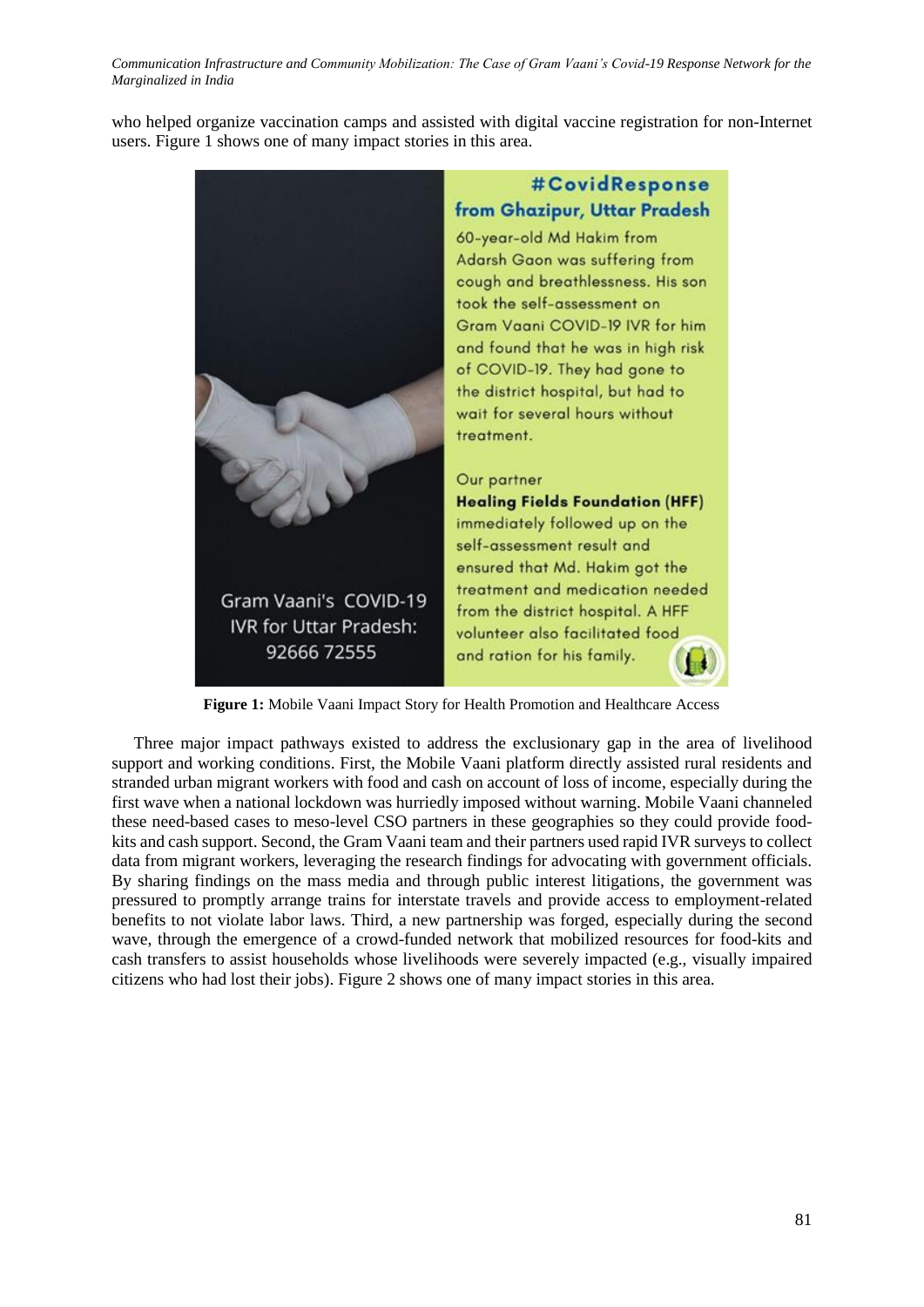who helped organize vaccination camps and assisted with digital vaccine registration for non-Internet users. Figure 1 shows one of many impact stories in this area.



Figure 1: Mobile Vaani Impact Story for Health Promotion and Healthcare Access

Three major impact pathways existed to address the exclusionary gap in the area of livelihood support and working conditions. First, the Mobile Vaani platform directly assisted rural residents and stranded urban migrant workers with food and cash on account of loss of income, especially during the first wave when a national lockdown was hurriedly imposed without warning. Mobile Vaani channeled these need-based cases to meso-level CSO partners in these geographies so they could provide foodkits and cash support. Second, the Gram Vaani team and their partners used rapid IVR surveys to collect data from migrant workers, leveraging the research findings for advocating with government officials. By sharing findings on the mass media and through public interest litigations, the government was pressured to promptly arrange trains for interstate travels and provide access to employment-related benefits to not violate labor laws. Third, a new partnership was forged, especially during the second wave, through the emergence of a crowd-funded network that mobilized resources for food-kits and cash transfers to assist households whose livelihoods were severely impacted (e.g., visually impaired citizens who had lost their jobs). Figure 2 shows one of many impact stories in this area.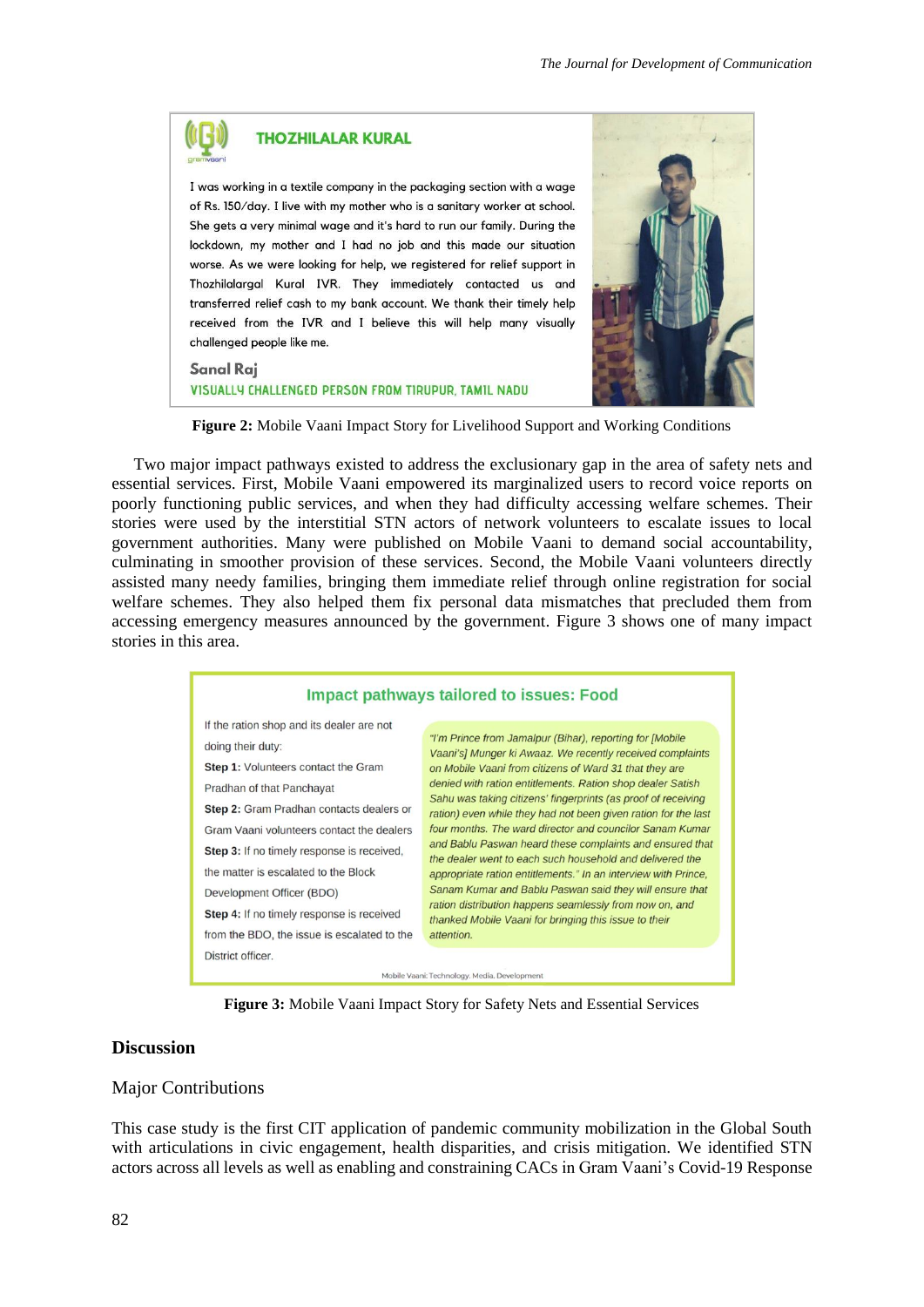# **THOZHILALAR KURAL** I was working in a textile company in the packaging section with a wage

of Rs. 150/day. I live with my mother who is a sanitary worker at school. She gets a very minimal wage and it's hard to run our family. During the lockdown, my mother and I had no job and this made our situation worse. As we were looking for help, we registered for relief support in Thozhilalargal Kural IVR. They immediately contacted us and transferred relief cash to my bank account. We thank their timely help received from the IVR and I believe this will help many visually challenged people like me.

#### **Sanal Rai**

VISUALLY CHALLENGED PERSON FROM TIRUPUR, TAMIL NADU



**Figure 2:** Mobile Vaani Impact Story for Livelihood Support and Working Conditions

Two major impact pathways existed to address the exclusionary gap in the area of safety nets and essential services. First, Mobile Vaani empowered its marginalized users to record voice reports on poorly functioning public services, and when they had difficulty accessing welfare schemes. Their stories were used by the interstitial STN actors of network volunteers to escalate issues to local government authorities. Many were published on Mobile Vaani to demand social accountability, culminating in smoother provision of these services. Second, the Mobile Vaani volunteers directly assisted many needy families, bringing them immediate relief through online registration for social welfare schemes. They also helped them fix personal data mismatches that precluded them from accessing emergency measures announced by the government. Figure 3 shows one of many impact stories in this area.



**Figure 3:** Mobile Vaani Impact Story for Safety Nets and Essential Services

# **Discussion**

#### Major Contributions

This case study is the first CIT application of pandemic community mobilization in the Global South with articulations in civic engagement, health disparities, and crisis mitigation. We identified STN actors across all levels as well as enabling and constraining CACs in Gram Vaani's Covid-19 Response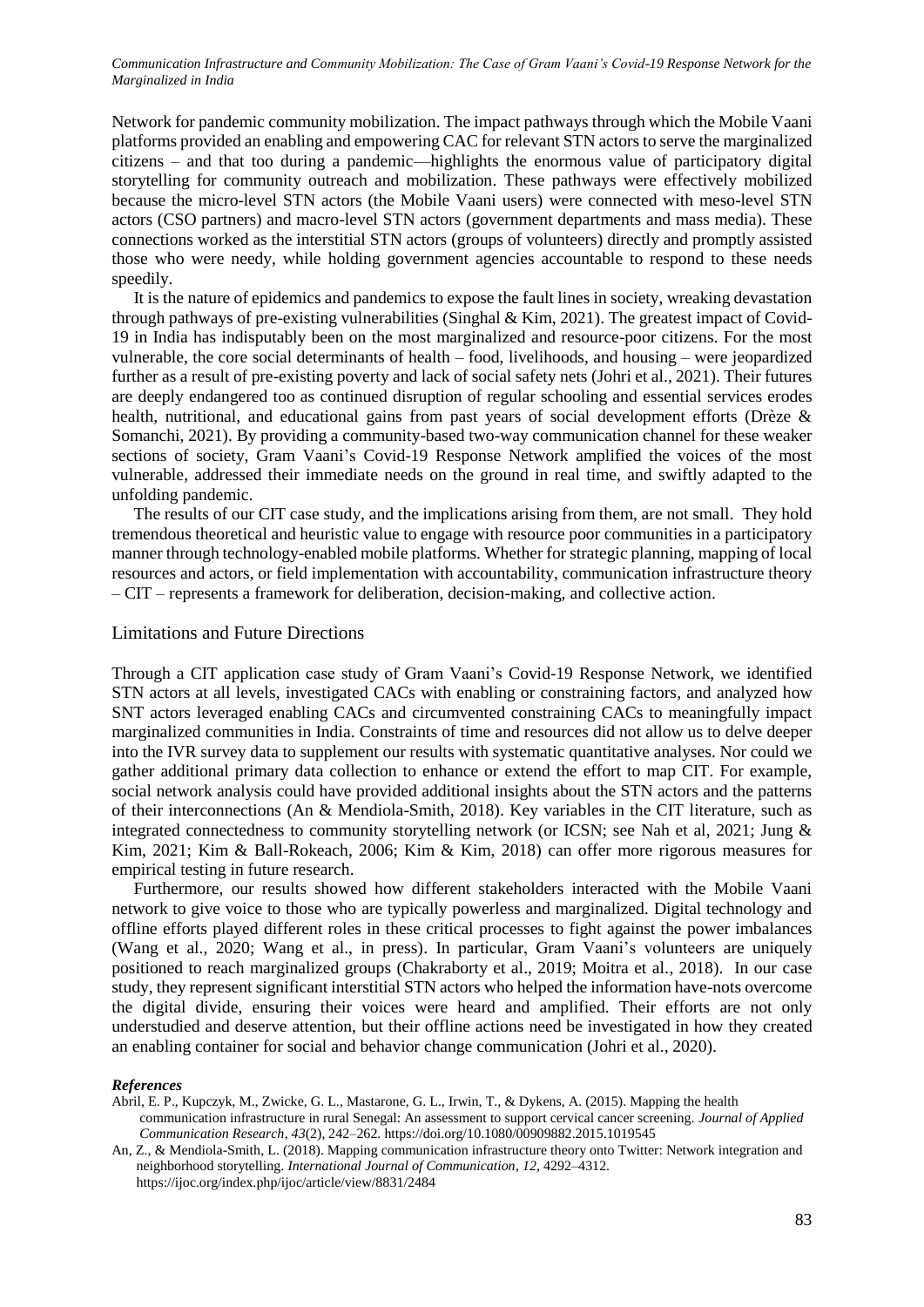Network for pandemic community mobilization. The impact pathways through which the Mobile Vaani platforms provided an enabling and empowering CAC for relevant STN actors to serve the marginalized citizens – and that too during a pandemic—highlights the enormous value of participatory digital storytelling for community outreach and mobilization. These pathways were effectively mobilized because the micro-level STN actors (the Mobile Vaani users) were connected with meso-level STN actors (CSO partners) and macro-level STN actors (government departments and mass media). These connections worked as the interstitial STN actors (groups of volunteers) directly and promptly assisted those who were needy, while holding government agencies accountable to respond to these needs speedily.

It is the nature of epidemics and pandemics to expose the fault lines in society, wreaking devastation through pathways of pre-existing vulnerabilities (Singhal  $\&$  Kim, 2021). The greatest impact of Covid-19 in India has indisputably been on the most marginalized and resource-poor citizens. For the most vulnerable, the core social determinants of health – food, livelihoods, and housing – were jeopardized further as a result of pre-existing poverty and lack of social safety nets (Johri et al., 2021). Their futures are deeply endangered too as continued disruption of regular schooling and essential services erodes health, nutritional, and educational gains from past years of social development efforts (Drèze & Somanchi, 2021). By providing a community-based two-way communication channel for these weaker sections of society, Gram Vaani's Covid-19 Response Network amplified the voices of the most vulnerable, addressed their immediate needs on the ground in real time, and swiftly adapted to the unfolding pandemic.

The results of our CIT case study, and the implications arising from them, are not small. They hold tremendous theoretical and heuristic value to engage with resource poor communities in a participatory manner through technology-enabled mobile platforms. Whether for strategic planning, mapping of local resources and actors, or field implementation with accountability, communication infrastructure theory – CIT – represents a framework for deliberation, decision-making, and collective action.

#### Limitations and Future Directions

Through a CIT application case study of Gram Vaani's Covid-19 Response Network, we identified STN actors at all levels, investigated CACs with enabling or constraining factors, and analyzed how SNT actors leveraged enabling CACs and circumvented constraining CACs to meaningfully impact marginalized communities in India. Constraints of time and resources did not allow us to delve deeper into the IVR survey data to supplement our results with systematic quantitative analyses. Nor could we gather additional primary data collection to enhance or extend the effort to map CIT. For example, social network analysis could have provided additional insights about the STN actors and the patterns of their interconnections (An & Mendiola-Smith, 2018). Key variables in the CIT literature, such as integrated connectedness to community storytelling network (or ICSN; see Nah et al, 2021; Jung & Kim, 2021; Kim & Ball-Rokeach, 2006; Kim & Kim, 2018) can offer more rigorous measures for empirical testing in future research.

Furthermore, our results showed how different stakeholders interacted with the Mobile Vaani network to give voice to those who are typically powerless and marginalized. Digital technology and offline efforts played different roles in these critical processes to fight against the power imbalances (Wang et al., 2020; Wang et al., in press). In particular, Gram Vaani's volunteers are uniquely positioned to reach marginalized groups (Chakraborty et al., 2019; Moitra et al., 2018). In our case study, they represent significant interstitial STN actors who helped the information have-nots overcome the digital divide, ensuring their voices were heard and amplified. Their efforts are not only understudied and deserve attention, but their offline actions need be investigated in how they created an enabling container for social and behavior change communication (Johri et al., 2020).

#### *References*

Abril, E. P., Kupczyk, M., Zwicke, G. L., Mastarone, G. L., Irwin, T., & Dykens, A. (2015). Mapping the health communication infrastructure in rural Senegal: An assessment to support cervical cancer screening. *Journal of Applied Communication Research*, *43*(2), 242–262. https://doi.org/10.1080/00909882.2015.1019545

An, Z., & Mendiola-Smith, L. (2018). Mapping communication infrastructure theory onto Twitter: Network integration and neighborhood storytelling. *International Journal of Communication*, *12*, 4292–4312. https://ijoc.org/index.php/ijoc/article/view/8831/2484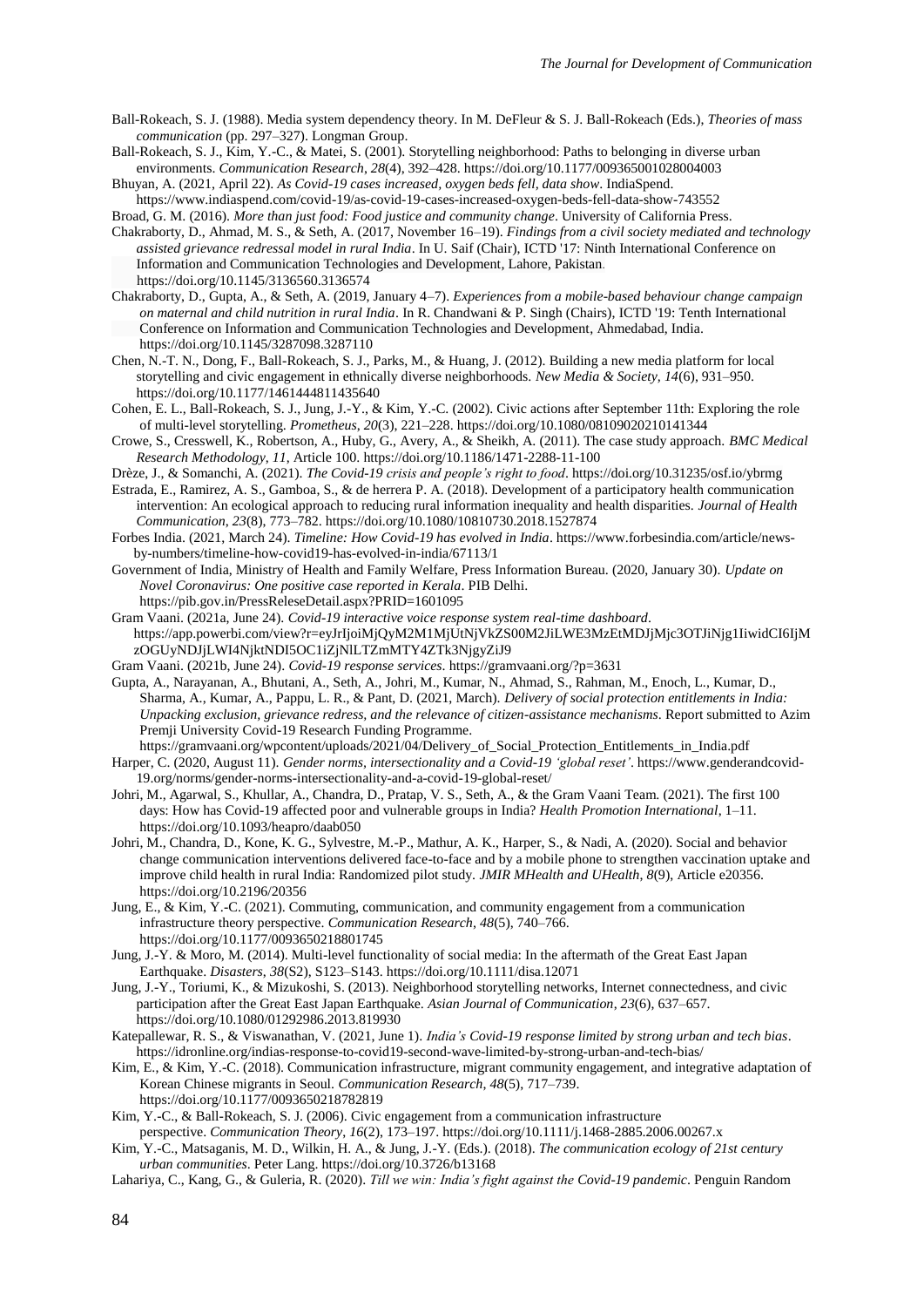- Ball-Rokeach, S. J. (1988). Media system dependency theory. In M. DeFleur & S. J. Ball-Rokeach (Eds.), *Theories of mass communication* (pp. 297–327). Longman Group.
- Ball-Rokeach, S. J., Kim, Y.-C., & Matei, S. (2001). Storytelling neighborhood: Paths to belonging in diverse urban environments. *Communication Research*, *28*(4), 392–428. https://doi.org/10.1177/009365001028004003
- Bhuyan, A. (2021, April 22). *As Covid-19 cases increased, oxygen beds fell, data show*. IndiaSpend. https://www.indiaspend.com/covid-19/as-covid-19-cases-increased-oxygen-beds-fell-data-show-743552
- Broad, G. M. (2016). *More than just food: Food justice and community change*. University of California Press.
- Chakraborty, D., Ahmad, M. S., & Seth, A. (2017, November 16–19). *Findings from a civil society mediated and technology assisted grievance redressal model in rural India*. In U. Saif (Chair), ICTD '17: Ninth International Conference on Information and Communication Technologies and Development, Lahore, Pakistan. https://doi.org/10.1145/3136560.3136574
- Chakraborty, D., Gupta, A., & Seth, A. (2019, January 4–7). *Experiences from a mobile-based behaviour change campaign on maternal and child nutrition in rural India*. In R. Chandwani & P. Singh (Chairs), ICTD '19: Tenth International Conference on Information and Communication Technologies and Development, Ahmedabad, India. https://doi.org/10.1145/3287098.3287110
- Chen, N.-T. N., Dong, F., Ball-Rokeach, S. J., Parks, M., & Huang, J. (2012). Building a new media platform for local storytelling and civic engagement in ethnically diverse neighborhoods. *New Media & Society, 14*(6), 931–950. https://doi.org/10.1177/1461444811435640
- Cohen, E. L., Ball-Rokeach, S. J., Jung, J.-Y., & Kim, Y.-C. (2002). Civic actions after September 11th: Exploring the role of multi-level storytelling. *Prometheus*, *20*(3), 221–228. https://doi.org/10.1080/08109020210141344
- Crowe, S., Cresswell, K., Robertson, A., Huby, G., Avery, A., & Sheikh, A. (2011). The case study approach. *BMC Medical Research Methodology*, *11*, Article 100. https://doi.org/10.1186/1471-2288-11-100
- Drèze, J., & Somanchi, A. (2021). *The Covid-19 crisis and people's right to food*. https://doi.org/10.31235/osf.io/ybrmg
- Estrada, E., Ramirez, A. S., Gamboa, S., & de herrera P. A. (2018). Development of a participatory health communication intervention: An ecological approach to reducing rural information inequality and health disparities. *Journal of Health Communication*, *23*(8), 773–782. https://doi.org/10.1080/10810730.2018.1527874
- Forbes India. (2021, March 24). *Timeline: How Covid-19 has evolved in India*. https://www.forbesindia.com/article/newsby-numbers/timeline-how-covid19-has-evolved-in-india/67113/1
- Government of India, Ministry of Health and Family Welfare, Press Information Bureau. (2020, January 30). *Update on Novel Coronavirus: One positive case reported in Kerala*. PIB Delhi.
	- https://pib.gov.in/PressReleseDetail.aspx?PRID=1601095
- Gram Vaani. (2021a, June 24). *Covid-19 interactive voice response system real-time dashboard*. https://app.powerbi.com/view?r=eyJrIjoiMjQyM2M1MjUtNjVkZS00M2JiLWE3MzEtMDJjMjc3OTJiNjg1IiwidCI6IjM zOGUyNDJjLWI4NjktNDI5OC1iZjNlLTZmMTY4ZTk3NjgyZiJ9
- Gram Vaani. (2021b, June 24). *Covid-19 response services*. https://gramvaani.org/?p=3631
- Gupta, A., Narayanan, A., Bhutani, A., Seth, A., Johri, M., Kumar, N., Ahmad, S., Rahman, M., Enoch, L., Kumar, D., Sharma, A., Kumar, A., Pappu, L. R., & Pant, D. (2021, March). *Delivery of social protection entitlements in India: Unpacking exclusion, grievance redress, and the relevance of citizen-assistance mechanisms*. Report submitted to Azim Premji University Covid-19 Research Funding Programme. https://gramvaani.org/wpcontent/uploads/2021/04/Delivery of Social Protection Entitlements in India.pdf
- Harper, C. (2020, August 11). *Gender norms, intersectionality and a Covid-19 'global reset'*. https://www.genderandcovid- 19.org/norms/gender-norms-intersectionality-and-a-covid-19-global-reset/
- Johri, M., Agarwal, S., Khullar, A., Chandra, D., Pratap, V. S., Seth, A., & the Gram Vaani Team. (2021). The first 100 days: How has Covid-19 affected poor and vulnerable groups in India? *Health Promotion International*, 1–11. https://doi.org/10.1093/heapro/daab050
- Johri, M., Chandra, D., Kone, K. G., Sylvestre, M.-P., Mathur, A. K., Harper, S., & Nadi, A. (2020). Social and behavior change communication interventions delivered face-to-face and by a mobile phone to strengthen vaccination uptake and improve child health in rural India: Randomized pilot study. *JMIR MHealth and UHealth*, *8*(9), Article e20356. https://doi.org/10.2196/20356
- Jung, E., & Kim, Y.-C. (2021). Commuting, communication, and community engagement from a communication infrastructure theory perspective. *Communication Research*, *48*(5), 740–766. https://doi.org/10.1177/0093650218801745
- Jung, J.-Y. & Moro, M. (2014). Multi-level functionality of social media: In the aftermath of the Great East Japan Earthquake. *Disasters*, *38*(S2), S123–S143. https://doi.org/10.1111/disa.12071
- Jung, J.-Y., Toriumi, K., & Mizukoshi, S. (2013). Neighborhood storytelling networks, Internet connectedness, and civic participation after the Great East Japan Earthquake. *Asian Journal of Communication*, *23*(6), 637–657. https://doi.org/10.1080/01292986.2013.819930
- Katepallewar, R. S., & Viswanathan, V. (2021, June 1). *India's Covid-19 response limited by strong urban and tech bias*. https://idronline.org/indias-response-to-covid19-second-wave-limited-by-strong-urban-and-tech-bias/
- Kim, E., & Kim, Y.-C. (2018). Communication infrastructure, migrant community engagement, and integrative adaptation of Korean Chinese migrants in Seoul. *Communication Research*, *48*(5), 717–739.
	- https://doi.org/10.1177/0093650218782819
- Kim, Y.-C., & Ball-Rokeach, S. J. (2006). Civic engagement from a communication infrastructure perspective. *Communication Theory*, *16*(2), 173–197. https://doi.org/10.1111/j.1468-2885.2006.00267.x
- Kim, Y.-C., Matsaganis, M. D., Wilkin, H. A., & Jung, J.-Y. (Eds.). (2018). *The communication ecology of 21st century urban communities*. Peter Lang. https://doi.org/10.3726/b13168
- Lahariya, C., Kang, G., & Guleria, R. (2020). *Till we win: India's fight against the Covid-19 pandemic*. Penguin Random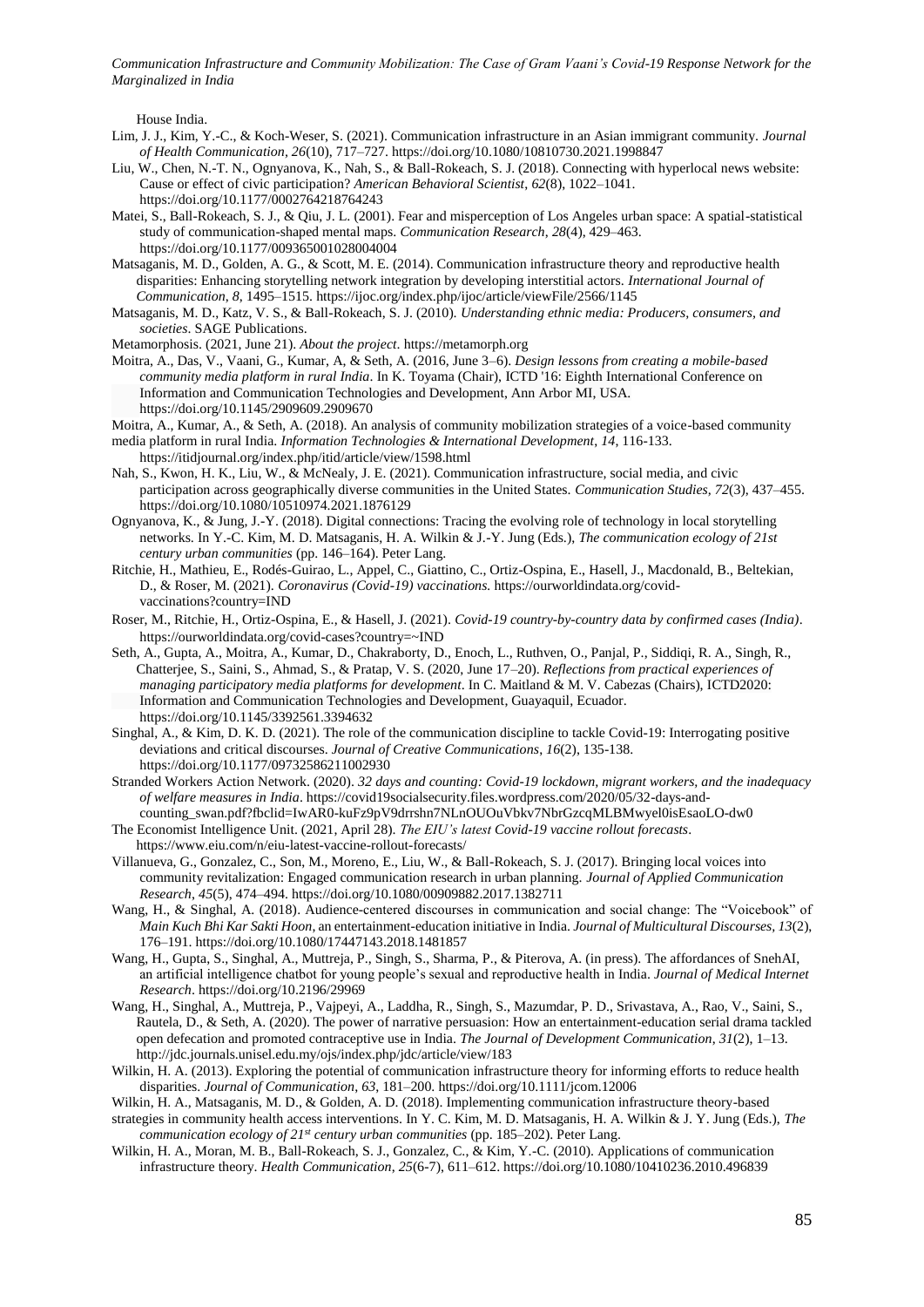House India.

- Lim, J. J., Kim, Y.-C., & Koch-Weser, S. (2021). Communication infrastructure in an Asian immigrant community. *Journal of Health Communication, 26*(10), 717–727. https://doi.org/10.1080/10810730.2021.1998847
- Liu, W., Chen, N.-T. N., Ognyanova, K., Nah, S., & Ball-Rokeach, S. J. (2018). Connecting with hyperlocal news website: Cause or effect of civic participation? *American Behavioral Scientist*, *62*(8), 1022–1041. https://doi.org/10.1177/0002764218764243
- Matei, S., Ball-Rokeach, S. J., & Qiu, J. L. (2001). Fear and misperception of Los Angeles urban space: A spatial-statistical study of communication-shaped mental maps. *Communication Research*, *28*(4), 429–463. https://doi.org/10.1177/009365001028004004
- Matsaganis, M. D., Golden, A. G., & Scott, M. E. (2014). Communication infrastructure theory and reproductive health disparities: Enhancing storytelling network integration by developing interstitial actors. *International Journal of Communication*, *8*, 1495–1515. https://ijoc.org/index.php/ijoc/article/viewFile/2566/1145
- Matsaganis, M. D., Katz, V. S., & Ball-Rokeach, S. J. (2010). *Understanding ethnic media: Producers, consumers, and societies*. SAGE Publications.
- Metamorphosis. (2021, June 21). *About the project*. https://metamorph.org
- Moitra, A., Das, V., Vaani, G., Kumar, A, & Seth, A. (2016, June 3–6). *Design lessons from creating a mobile-based community media platform in rural India*. In K. Toyama (Chair), ICTD '16: Eighth International Conference on Information and Communication Technologies and Development, Ann Arbor MI, USA. https://doi.org/10.1145/2909609.2909670
- Moitra, A., Kumar, A., & Seth, A. (2018). An analysis of community mobilization strategies of a voice-based community media platform in rural India. *Information Technologies & International Development*, *14*, 116-133. https://itidjournal.org/index.php/itid/article/view/1598.html
- Nah, S., Kwon, H. K., Liu, W., & McNealy, J. E. (2021). Communication infrastructure, social media, and civic participation across geographically diverse communities in the United States. *Communication Studies, 72*(3), 437–455. https://doi.org/10.1080/10510974.2021.1876129
- Ognyanova, K., & Jung, J.-Y. (2018). Digital connections: Tracing the evolving role of technology in local storytelling networks. In Y.-C. Kim, M. D. Matsaganis, H. A. Wilkin & J.-Y. Jung (Eds.), *The communication ecology of 21st century urban communities* (pp. 146–164). Peter Lang.
- Ritchie, H., Mathieu, E., Rodés-Guirao, L., Appel, C., Giattino, C., Ortiz-Ospina, E., Hasell, J., Macdonald, B., Beltekian, D., & Roser, M. (2021). *Coronavirus (Covid-19) vaccinations.* https://ourworldindata.org/covidvaccinations?country=IND
- Roser, M., Ritchie, H., Ortiz-Ospina, E., & Hasell, J. (2021). *Covid-19 country-by-country data by confirmed cases (India)*. https://ourworldindata.org/covid-cases?country=~IND
- Seth, A., Gupta, A., Moitra, A., Kumar, D., Chakraborty, D., Enoch, L., Ruthven, O., Panjal, P., Siddiqi, R. A., Singh, R., Chatterjee, S., Saini, S., Ahmad, S., & Pratap, V. S. (2020, June 17–20). *Reflections from practical experiences of managing participatory media platforms for development*. In C. Maitland & M. V. Cabezas (Chairs), ICTD2020: Information and Communication Technologies and Development, Guayaquil, Ecuador. https://doi.org/10.1145/3392561.3394632
- Singhal, A., & Kim, D. K. D. (2021). The role of the communication discipline to tackle Covid-19: Interrogating positive deviations and critical discourses. *Journal of Creative Communications*, *16*(2), 135-138. https://doi.org/10.1177/09732586211002930
- Stranded Workers Action Network. (2020). *32 days and counting: Covid-19 lockdown, migrant workers, and the inadequacy of welfare measures in India*. https://covid19socialsecurity.files.wordpress.com/2020/05/32-days-andcounting\_swan.pdf?fbclid=IwAR0-kuFz9pV9drrshn7NLnOUOuVbkv7NbrGzcqMLBMwyel0isEsaoLO-dw0
- The Economist Intelligence Unit. (2021, April 28). *The EIU's latest Covid-19 vaccine rollout forecasts*. https://www.eiu.com/n/eiu-latest-vaccine-rollout-forecasts/
- Villanueva, G., Gonzalez, C., Son, M., Moreno, E., Liu, W., & Ball-Rokeach, S. J. (2017). Bringing local voices into community revitalization: Engaged communication research in urban planning. *Journal of Applied Communication Research*, *45*(5), 474–494. https://doi.org/10.1080/00909882.2017.1382711
- Wang, H., & Singhal, A. (2018). Audience-centered discourses in communication and social change: The "Voicebook" of *Main Kuch Bhi Kar Sakti Hoon*, an entertainment-education initiative in India. *Journal of Multicultural Discourses, 13*(2), 176–191. https://doi.org/10.1080/17447143.2018.1481857
- Wang, H., Gupta, S., Singhal, A., Muttreja, P., Singh, S., Sharma, P., & Piterova, A. (in press). The affordances of SnehAI, an artificial intelligence chatbot for young people's sexual and reproductive health in India. *Journal of Medical Internet Research*. https://doi.org/10.2196/29969
- Wang, H., Singhal, A., Muttreja, P., Vajpeyi, A., Laddha, R., Singh, S., Mazumdar, P. D., Srivastava, A., Rao, V., Saini, S., Rautela, D., & Seth, A. (2020). The power of narrative persuasion: How an entertainment-education serial drama tackled open defecation and promoted contraceptive use in India. *The Journal of Development Communication*, *31*(2), 1–13. http://jdc.journals.unisel.edu.my/ojs/index.php/jdc/article/view/183
- Wilkin, H. A. (2013). Exploring the potential of communication infrastructure theory for informing efforts to reduce health disparities. *Journal of Communication*, *63*, 181–200. https://doi.org/10.1111/jcom.12006
- Wilkin, H. A., Matsaganis, M. D., & Golden, A. D. (2018). Implementing communication infrastructure theory-based strategies in community health access interventions. In Y. C. Kim, M. D. Matsaganis, H. A. Wilkin & J. Y. Jung (Eds.), *The communication ecology of 21st century urban communities* (pp. 185–202). Peter Lang.
- Wilkin, H. A., Moran, M. B., Ball-Rokeach, S. J., Gonzalez, C., & Kim, Y.-C. (2010). Applications of communication infrastructure theory. *Health Communication*, *25*(6-7), 611–612. https://doi.org/10.1080/10410236.2010.496839